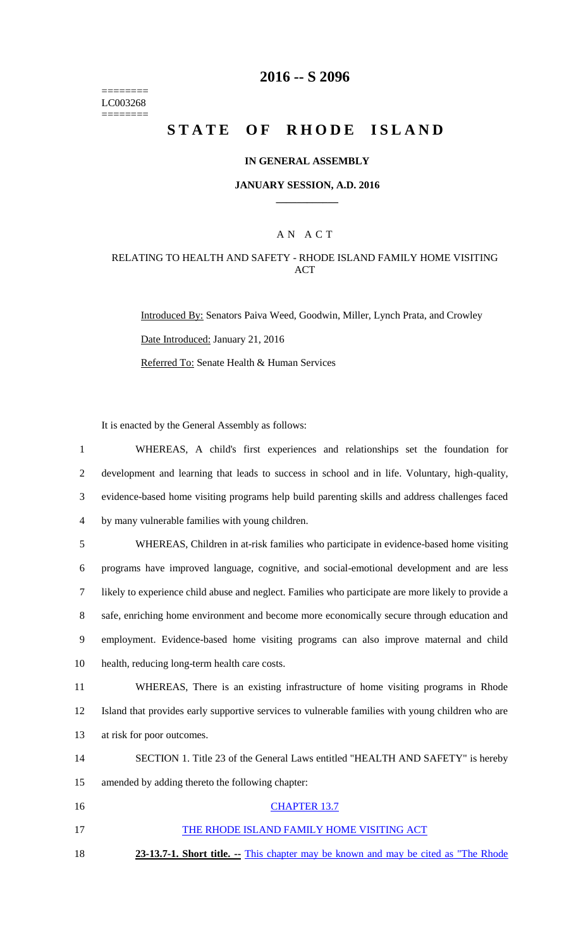======== LC003268  $=$ 

# **2016 -- S 2096**

# STATE OF RHODE ISLAND

### **IN GENERAL ASSEMBLY**

#### **JANUARY SESSION, A.D. 2016 \_\_\_\_\_\_\_\_\_\_\_\_**

### A N A C T

### RELATING TO HEALTH AND SAFETY - RHODE ISLAND FAMILY HOME VISITING ACT

Introduced By: Senators Paiva Weed, Goodwin, Miller, Lynch Prata, and Crowley Date Introduced: January 21, 2016 Referred To: Senate Health & Human Services

It is enacted by the General Assembly as follows:

| $\mathbf{1}$   | WHEREAS, A child's first experiences and relationships set the foundation for                       |
|----------------|-----------------------------------------------------------------------------------------------------|
| $\overline{2}$ | development and learning that leads to success in school and in life. Voluntary, high-quality,      |
| 3              | evidence-based home visiting programs help build parenting skills and address challenges faced      |
| 4              | by many vulnerable families with young children.                                                    |
| 5              | WHEREAS, Children in at-risk families who participate in evidence-based home visiting               |
| 6              | programs have improved language, cognitive, and social-emotional development and are less           |
| $\overline{7}$ | likely to experience child abuse and neglect. Families who participate are more likely to provide a |
| 8              | safe, enriching home environment and become more economically secure through education and          |
| 9              | employment. Evidence-based home visiting programs can also improve maternal and child               |
| 10             | health, reducing long-term health care costs.                                                       |
| 11             | WHEREAS, There is an existing infrastructure of home visiting programs in Rhode                     |
| 12             | Island that provides early supportive services to vulnerable families with young children who are   |
| 13             | at risk for poor outcomes.                                                                          |
| 14             | SECTION 1. Title 23 of the General Laws entitled "HEALTH AND SAFETY" is hereby                      |
| 15             | amended by adding thereto the following chapter:                                                    |
| 16             | <b>CHAPTER 13.7</b>                                                                                 |
| 17             | THE RHODE ISLAND FAMILY HOME VISITING ACT                                                           |
| 18             | 23-13.7-1. Short title. -- This chapter may be known and may be cited as "The Rhode"                |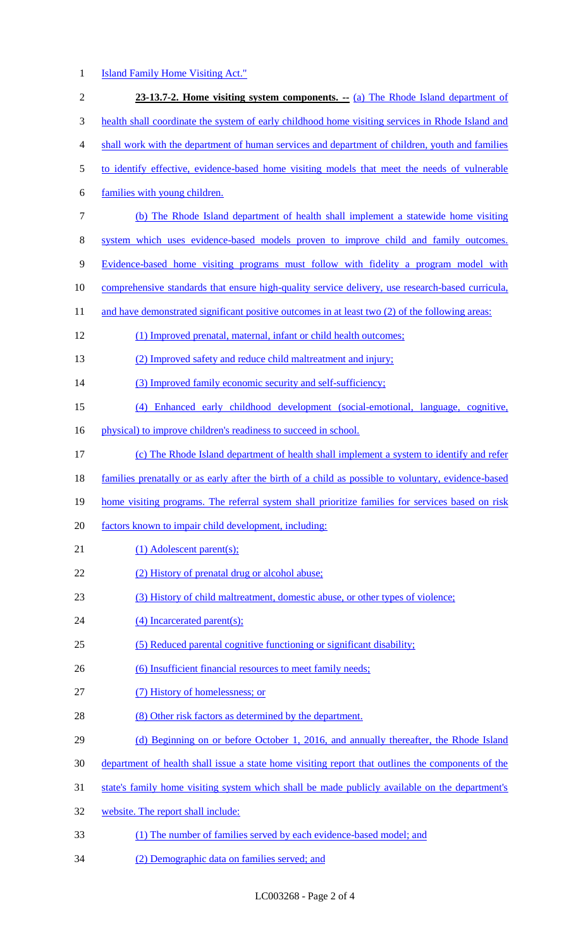## 1 **Island Family Home Visiting Act."**

| $\sqrt{2}$ | 23-13.7-2. Home visiting system components. -- (a) The Rhode Island department of                   |
|------------|-----------------------------------------------------------------------------------------------------|
| 3          | health shall coordinate the system of early childhood home visiting services in Rhode Island and    |
| 4          | shall work with the department of human services and department of children, youth and families     |
| 5          | to identify effective, evidence-based home visiting models that meet the needs of vulnerable        |
| 6          | families with young children.                                                                       |
| $\tau$     | (b) The Rhode Island department of health shall implement a statewide home visiting                 |
| $8\,$      | system which uses evidence-based models proven to improve child and family outcomes.                |
| 9          | Evidence-based home visiting programs must follow with fidelity a program model with                |
| 10         | comprehensive standards that ensure high-quality service delivery, use research-based curricula,    |
| 11         | and have demonstrated significant positive outcomes in at least two (2) of the following areas:     |
| 12         | (1) Improved prenatal, maternal, infant or child health outcomes;                                   |
| 13         | (2) Improved safety and reduce child maltreatment and injury;                                       |
| 14         | (3) Improved family economic security and self-sufficiency;                                         |
| 15         | (4) Enhanced early childhood development (social-emotional, language, cognitive,                    |
| 16         | physical) to improve children's readiness to succeed in school.                                     |
| 17         | (c) The Rhode Island department of health shall implement a system to identify and refer            |
| 18         | families prenatally or as early after the birth of a child as possible to voluntary, evidence-based |
| 19         | home visiting programs. The referral system shall prioritize families for services based on risk    |
| 20         | factors known to impair child development, including:                                               |
| 21         | $(1)$ Adolescent parent $(s)$ ;                                                                     |
| 22         | (2) History of prenatal drug or alcohol abuse;                                                      |
| 23         | (3) History of child maltreatment, domestic abuse, or other types of violence;                      |
| 24         | (4) Incarcerated parent(s);                                                                         |
| 25         | (5) Reduced parental cognitive functioning or significant disability;                               |
| 26         | (6) Insufficient financial resources to meet family needs;                                          |
| 27         | (7) History of homelessness; or                                                                     |
| 28         | (8) Other risk factors as determined by the department.                                             |
| 29         | (d) Beginning on or before October 1, 2016, and annually thereafter, the Rhode Island               |
| 30         | department of health shall issue a state home visiting report that outlines the components of the   |
| 31         | state's family home visiting system which shall be made publicly available on the department's      |
| 32         | website. The report shall include:                                                                  |
| 33         | (1) The number of families served by each evidence-based model; and                                 |
|            |                                                                                                     |

34 (2) Demographic data on families served; and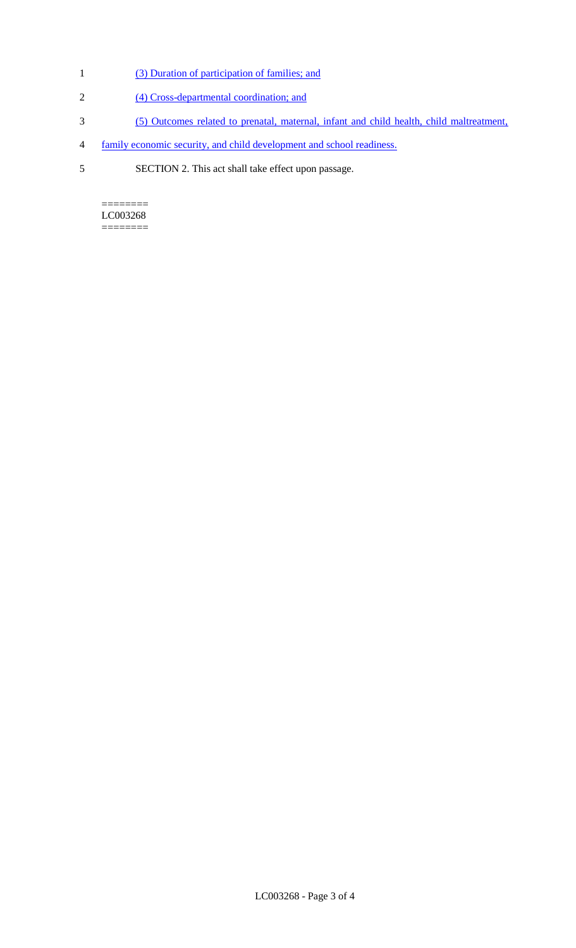- 1 (3) Duration of participation of families; and
- 2 (4) Cross-departmental coordination; and
- 3 (5) Outcomes related to prenatal, maternal, infant and child health, child maltreatment,
- 4 family economic security, and child development and school readiness.
- 5 SECTION 2. This act shall take effect upon passage.

 $=$ LC003268 ========